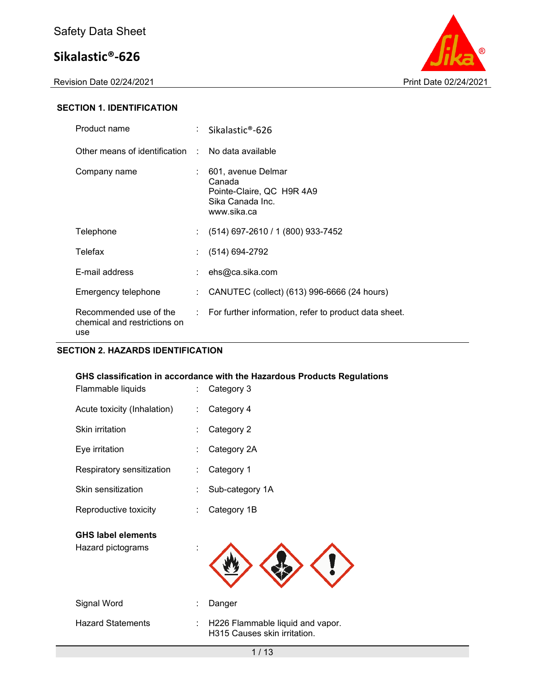Revision Date 02/24/2021 Print Date 02/24/2021



### **SECTION 1. IDENTIFICATION**

| Product name                                                  | $\therefore$ Sikalastic®-626                                                                 |
|---------------------------------------------------------------|----------------------------------------------------------------------------------------------|
| Other means of identification : No data available             |                                                                                              |
| Company name                                                  | 601, avenue Delmar<br>Canada<br>Pointe-Claire, QC H9R 4A9<br>Sika Canada Inc.<br>www.sika.ca |
| Telephone                                                     | $(514)$ 697-2610 / 1 (800) 933-7452                                                          |
| Telefax                                                       | $(514) 694-2792$                                                                             |
| E-mail address                                                | $:$ ehs@ca.sika.com                                                                          |
| Emergency telephone                                           | : CANUTEC (collect) (613) 996-6666 (24 hours)                                                |
| Recommended use of the<br>chemical and restrictions on<br>use | : For further information, refer to product data sheet.                                      |

## **SECTION 2. HAZARDS IDENTIFICATION**

| Flammable liquids           | GHS classification in accordance with the Hazardous Products Regulations<br>Category 3<br>t. |                                                                  |  |  |
|-----------------------------|----------------------------------------------------------------------------------------------|------------------------------------------------------------------|--|--|
| Acute toxicity (Inhalation) |                                                                                              | Category 4                                                       |  |  |
| Skin irritation             |                                                                                              | Category 2                                                       |  |  |
| Eye irritation              |                                                                                              | Category 2A                                                      |  |  |
| Respiratory sensitization   | ÷                                                                                            | Category 1                                                       |  |  |
| Skin sensitization          | ÷                                                                                            | Sub-category 1A                                                  |  |  |
| Reproductive toxicity       |                                                                                              | Category 1B                                                      |  |  |
| <b>GHS label elements</b>   |                                                                                              |                                                                  |  |  |
| Hazard pictograms           |                                                                                              |                                                                  |  |  |
|                             |                                                                                              |                                                                  |  |  |
|                             |                                                                                              |                                                                  |  |  |
| Signal Word                 |                                                                                              | Danger                                                           |  |  |
| <b>Hazard Statements</b>    |                                                                                              | H226 Flammable liquid and vapor.<br>H315 Causes skin irritation. |  |  |
|                             |                                                                                              | 1/13                                                             |  |  |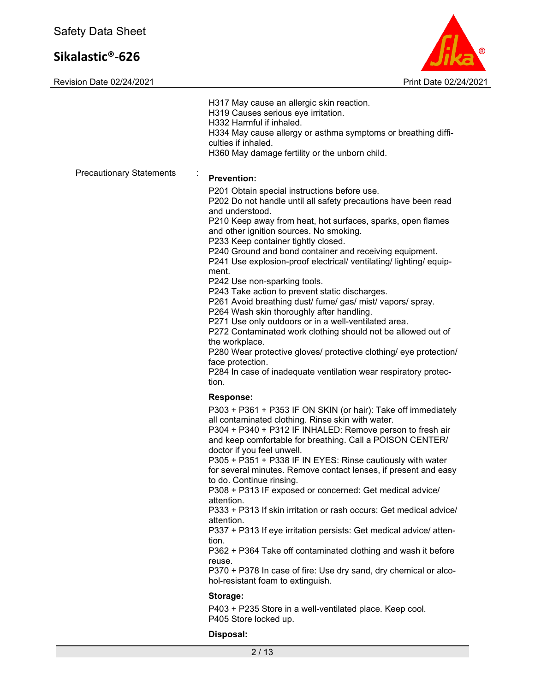

|                                      | H317 May cause an allergic skin reaction.<br>H319 Causes serious eye irritation.<br>H332 Harmful if inhaled.<br>H334 May cause allergy or asthma symptoms or breathing diffi-<br>culties if inhaled.<br>H360 May damage fertility or the unborn child.                                                                                                                                                                                                                                                                                                                                                                                                                                                                                                                                                                                                                                                                                                |
|--------------------------------------|-------------------------------------------------------------------------------------------------------------------------------------------------------------------------------------------------------------------------------------------------------------------------------------------------------------------------------------------------------------------------------------------------------------------------------------------------------------------------------------------------------------------------------------------------------------------------------------------------------------------------------------------------------------------------------------------------------------------------------------------------------------------------------------------------------------------------------------------------------------------------------------------------------------------------------------------------------|
| <b>Precautionary Statements</b><br>÷ | <b>Prevention:</b><br>P201 Obtain special instructions before use.<br>P202 Do not handle until all safety precautions have been read<br>and understood.<br>P210 Keep away from heat, hot surfaces, sparks, open flames<br>and other ignition sources. No smoking.<br>P233 Keep container tightly closed.<br>P240 Ground and bond container and receiving equipment.<br>P241 Use explosion-proof electrical/ ventilating/ lighting/ equip-<br>ment.<br>P242 Use non-sparking tools.<br>P243 Take action to prevent static discharges.<br>P261 Avoid breathing dust/ fume/ gas/ mist/ vapors/ spray.<br>P264 Wash skin thoroughly after handling.<br>P271 Use only outdoors or in a well-ventilated area.<br>P272 Contaminated work clothing should not be allowed out of<br>the workplace.<br>P280 Wear protective gloves/ protective clothing/ eye protection/<br>face protection.<br>P284 In case of inadequate ventilation wear respiratory protec- |
|                                      | tion.<br><b>Response:</b><br>P303 + P361 + P353 IF ON SKIN (or hair): Take off immediately<br>all contaminated clothing. Rinse skin with water.<br>P304 + P340 + P312 IF INHALED: Remove person to fresh air<br>and keep comfortable for breathing. Call a POISON CENTER/<br>doctor if you feel unwell.<br>P305 + P351 + P338 IF IN EYES: Rinse cautiously with water<br>for several minutes. Remove contact lenses, if present and easy<br>to do. Continue rinsing.<br>P308 + P313 IF exposed or concerned: Get medical advice/<br>attention.<br>P333 + P313 If skin irritation or rash occurs: Get medical advice/<br>attention.<br>P337 + P313 If eye irritation persists: Get medical advice/ atten-<br>tion.<br>P362 + P364 Take off contaminated clothing and wash it before<br>reuse.<br>P370 + P378 In case of fire: Use dry sand, dry chemical or alco-<br>hol-resistant foam to extinguish.                                                 |
|                                      | Storage:<br>P403 + P235 Store in a well-ventilated place. Keep cool.<br>P405 Store locked up.                                                                                                                                                                                                                                                                                                                                                                                                                                                                                                                                                                                                                                                                                                                                                                                                                                                         |
|                                      | Disposal:<br>2/13                                                                                                                                                                                                                                                                                                                                                                                                                                                                                                                                                                                                                                                                                                                                                                                                                                                                                                                                     |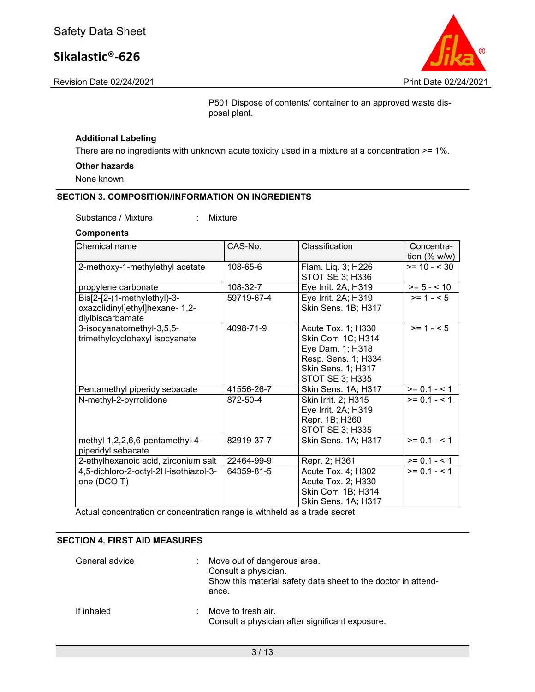Revision Date 02/24/2021 Print Date 02/24/2021

P501 Dispose of contents/ container to an approved waste disposal plant.

#### **Additional Labeling**

There are no ingredients with unknown acute toxicity used in a mixture at a concentration >= 1%.

#### **Other hazards**

None known.

#### **SECTION 3. COMPOSITION/INFORMATION ON INGREDIENTS**

Substance / Mixture : Mixture

#### **Components**

| Chemical name                         | CAS-No.    | Classification      | Concentra-                      |
|---------------------------------------|------------|---------------------|---------------------------------|
|                                       |            |                     | tion $(% \mathcal{O}_{N})$ w/w) |
| 2-methoxy-1-methylethyl acetate       | 108-65-6   | Flam. Liq. 3; H226  | $>= 10 - 530$                   |
|                                       |            | STOT SE 3; H336     |                                 |
| propylene carbonate                   | 108-32-7   | Eye Irrit. 2A; H319 | $>= 5 - < 10$                   |
| Bis[2-[2-(1-methylethyl)-3-           | 59719-67-4 | Eye Irrit. 2A; H319 | $>= 1 - 5$                      |
| oxazolidinyl]ethyl]hexane- 1,2-       |            | Skin Sens. 1B; H317 |                                 |
| diylbiscarbamate                      |            |                     |                                 |
| 3-isocyanatomethyl-3,5,5-             | 4098-71-9  | Acute Tox. 1; H330  | $>= 1 - 5$                      |
| trimethylcyclohexyl isocyanate        |            | Skin Corr. 1C; H314 |                                 |
|                                       |            | Eye Dam. 1; H318    |                                 |
|                                       |            | Resp. Sens. 1; H334 |                                 |
|                                       |            | Skin Sens. 1; H317  |                                 |
|                                       |            | STOT SE 3; H335     |                                 |
| Pentamethyl piperidylsebacate         | 41556-26-7 | Skin Sens. 1A; H317 | $\overline{>}$ = 0.1 - < 1      |
| N-methyl-2-pyrrolidone                | 872-50-4   | Skin Irrit. 2; H315 | $>= 0.1 - 5.1$                  |
|                                       |            | Eye Irrit. 2A; H319 |                                 |
|                                       |            | Repr. 1B; H360      |                                 |
|                                       |            | STOT SE 3; H335     |                                 |
| methyl 1,2,2,6,6-pentamethyl-4-       | 82919-37-7 | Skin Sens. 1A; H317 | $>= 0.1 - 1.1$                  |
| piperidyl sebacate                    |            |                     |                                 |
| 2-ethylhexanoic acid, zirconium salt  | 22464-99-9 | Repr. 2; H361       | $>= 0.1 - 1.1$                  |
| 4,5-dichloro-2-octyl-2H-isothiazol-3- | 64359-81-5 | Acute Tox. 4; H302  | $>= 0.1 - 1$                    |
| one (DCOIT)                           |            | Acute Tox. 2; H330  |                                 |
|                                       |            | Skin Corr. 1B; H314 |                                 |
|                                       |            | Skin Sens. 1A; H317 |                                 |

Actual concentration or concentration range is withheld as a trade secret

## **SECTION 4. FIRST AID MEASURES**

| General advice |    | : Move out of dangerous area.<br>Consult a physician.<br>Show this material safety data sheet to the doctor in attend-<br>ance. |
|----------------|----|---------------------------------------------------------------------------------------------------------------------------------|
| If inhaled     | ÷. | Move to fresh air.<br>Consult a physician after significant exposure.                                                           |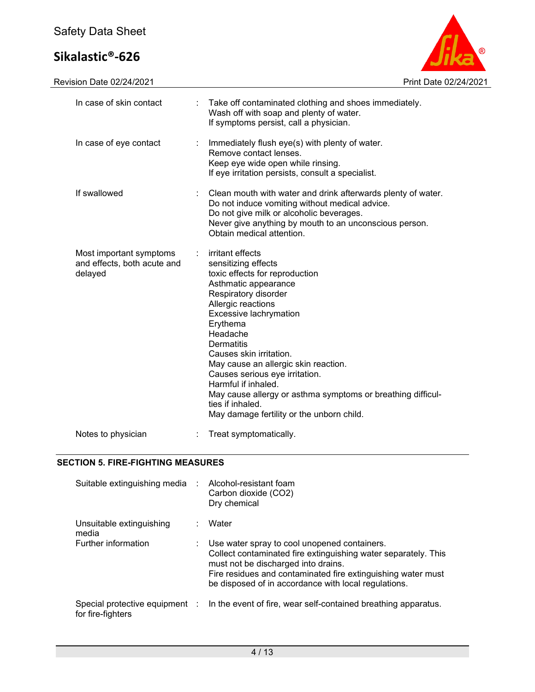

| In case of skin contact                                           |   | Take off contaminated clothing and shoes immediately.<br>Wash off with soap and plenty of water.<br>If symptoms persist, call a physician.                                                                                                                                                                                                                                                                                                                                  |
|-------------------------------------------------------------------|---|-----------------------------------------------------------------------------------------------------------------------------------------------------------------------------------------------------------------------------------------------------------------------------------------------------------------------------------------------------------------------------------------------------------------------------------------------------------------------------|
| In case of eye contact                                            | ÷ | Immediately flush eye(s) with plenty of water.<br>Remove contact lenses.<br>Keep eye wide open while rinsing.<br>If eye irritation persists, consult a specialist.                                                                                                                                                                                                                                                                                                          |
| If swallowed                                                      |   | Clean mouth with water and drink afterwards plenty of water.<br>Do not induce vomiting without medical advice.<br>Do not give milk or alcoholic beverages.<br>Never give anything by mouth to an unconscious person.<br>Obtain medical attention.                                                                                                                                                                                                                           |
| Most important symptoms<br>and effects, both acute and<br>delayed |   | irritant effects<br>sensitizing effects<br>toxic effects for reproduction<br>Asthmatic appearance<br>Respiratory disorder<br>Allergic reactions<br>Excessive lachrymation<br>Erythema<br>Headache<br>Dermatitis<br>Causes skin irritation.<br>May cause an allergic skin reaction.<br>Causes serious eye irritation.<br>Harmful if inhaled.<br>May cause allergy or asthma symptoms or breathing difficul-<br>ties if inhaled.<br>May damage fertility or the unborn child. |
| Notes to physician                                                |   | Treat symptomatically.                                                                                                                                                                                                                                                                                                                                                                                                                                                      |

## **SECTION 5. FIRE-FIGHTING MEASURES**

| Suitable extinguishing media :    | Alcohol-resistant foam<br>Carbon dioxide (CO2)<br>Dry chemical                                                                                                                                                                                                                |
|-----------------------------------|-------------------------------------------------------------------------------------------------------------------------------------------------------------------------------------------------------------------------------------------------------------------------------|
| Unsuitable extinguishing<br>media | Water                                                                                                                                                                                                                                                                         |
| Further information               | Use water spray to cool unopened containers.<br>Collect contaminated fire extinguishing water separately. This<br>must not be discharged into drains.<br>Fire residues and contaminated fire extinguishing water must<br>be disposed of in accordance with local regulations. |
| for fire-fighters                 | Special protective equipment : In the event of fire, wear self-contained breathing apparatus.                                                                                                                                                                                 |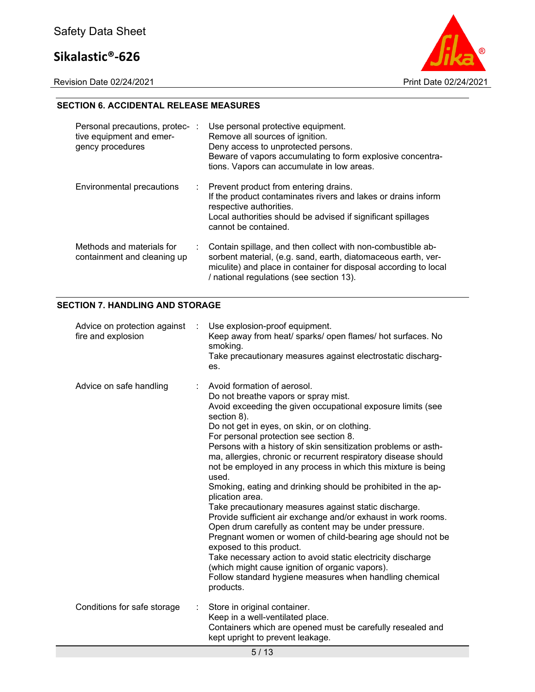Revision Date 02/24/2021 Print Date 02/24/2021



## **SECTION 6. ACCIDENTAL RELEASE MEASURES**

| Personal precautions, protec- :<br>tive equipment and emer-<br>gency procedures | Use personal protective equipment.<br>Remove all sources of ignition.<br>Deny access to unprotected persons.<br>Beware of vapors accumulating to form explosive concentra-<br>tions. Vapors can accumulate in low areas.                     |
|---------------------------------------------------------------------------------|----------------------------------------------------------------------------------------------------------------------------------------------------------------------------------------------------------------------------------------------|
| Environmental precautions                                                       | : Prevent product from entering drains.<br>If the product contaminates rivers and lakes or drains inform<br>respective authorities.<br>Local authorities should be advised if significant spillages<br>cannot be contained.                  |
| Methods and materials for<br>containment and cleaning up                        | Contain spillage, and then collect with non-combustible ab-<br>sorbent material, (e.g. sand, earth, diatomaceous earth, ver-<br>miculite) and place in container for disposal according to local<br>/ national regulations (see section 13). |

## **SECTION 7. HANDLING AND STORAGE**

| Advice on protection against<br>fire and explosion | Use explosion-proof equipment.<br>$\sim$<br>Keep away from heat/ sparks/ open flames/ hot surfaces. No<br>smoking.<br>Take precautionary measures against electrostatic discharg-<br>es.                                                                                                                                                                                                                                                                                                                                                                                                                                                                                                                                                                                                                                                                                                                                                                                                                            |
|----------------------------------------------------|---------------------------------------------------------------------------------------------------------------------------------------------------------------------------------------------------------------------------------------------------------------------------------------------------------------------------------------------------------------------------------------------------------------------------------------------------------------------------------------------------------------------------------------------------------------------------------------------------------------------------------------------------------------------------------------------------------------------------------------------------------------------------------------------------------------------------------------------------------------------------------------------------------------------------------------------------------------------------------------------------------------------|
| Advice on safe handling                            | Avoid formation of aerosol.<br>Do not breathe vapors or spray mist.<br>Avoid exceeding the given occupational exposure limits (see<br>section 8).<br>Do not get in eyes, on skin, or on clothing.<br>For personal protection see section 8.<br>Persons with a history of skin sensitization problems or asth-<br>ma, allergies, chronic or recurrent respiratory disease should<br>not be employed in any process in which this mixture is being<br>used.<br>Smoking, eating and drinking should be prohibited in the ap-<br>plication area.<br>Take precautionary measures against static discharge.<br>Provide sufficient air exchange and/or exhaust in work rooms.<br>Open drum carefully as content may be under pressure.<br>Pregnant women or women of child-bearing age should not be<br>exposed to this product.<br>Take necessary action to avoid static electricity discharge<br>(which might cause ignition of organic vapors).<br>Follow standard hygiene measures when handling chemical<br>products. |
| Conditions for safe storage                        | Store in original container.<br>Keep in a well-ventilated place.<br>Containers which are opened must be carefully resealed and<br>kept upright to prevent leakage.                                                                                                                                                                                                                                                                                                                                                                                                                                                                                                                                                                                                                                                                                                                                                                                                                                                  |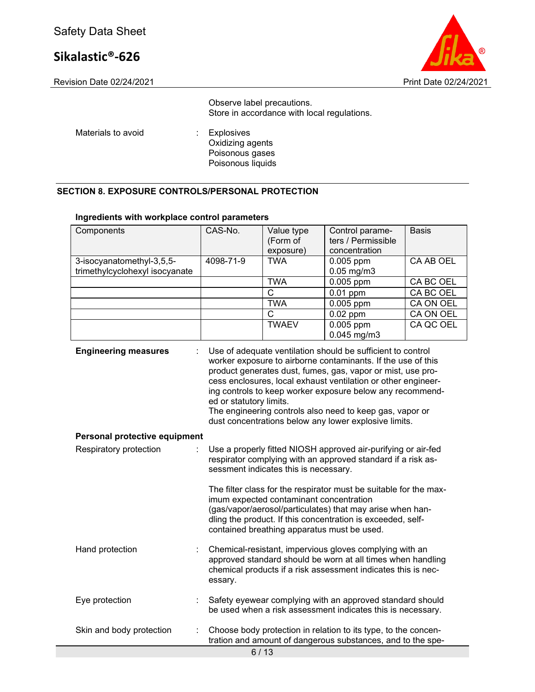

Observe label precautions. Store in accordance with local regulations.

Materials to avoid **:** Explosives

Oxidizing agents Poisonous gases Poisonous liquids

## **SECTION 8. EXPOSURE CONTROLS/PERSONAL PROTECTION**

#### **Ingredients with workplace control parameters**

| Components                                                   | CAS-No.                                                                                                                                                                                                                                                                                                                                                                                                                                                                  | Value type<br>(Form of | Control parame-<br>ters / Permissible                                                                                         | <b>Basis</b> |
|--------------------------------------------------------------|--------------------------------------------------------------------------------------------------------------------------------------------------------------------------------------------------------------------------------------------------------------------------------------------------------------------------------------------------------------------------------------------------------------------------------------------------------------------------|------------------------|-------------------------------------------------------------------------------------------------------------------------------|--------------|
|                                                              |                                                                                                                                                                                                                                                                                                                                                                                                                                                                          | exposure)              | concentration                                                                                                                 |              |
| 3-isocyanatomethyl-3,5,5-<br>trimethylcyclohexyl isocyanate  | 4098-71-9                                                                                                                                                                                                                                                                                                                                                                                                                                                                | <b>TWA</b>             | 0.005 ppm<br>$0.05$ mg/m $3$                                                                                                  | CA AB OEL    |
|                                                              |                                                                                                                                                                                                                                                                                                                                                                                                                                                                          | <b>TWA</b>             | 0.005 ppm                                                                                                                     | CA BC OEL    |
|                                                              |                                                                                                                                                                                                                                                                                                                                                                                                                                                                          | C                      | $0.01$ ppm                                                                                                                    | CA BC OEL    |
|                                                              |                                                                                                                                                                                                                                                                                                                                                                                                                                                                          | <b>TWA</b>             | 0.005 ppm                                                                                                                     | CA ON OEL    |
|                                                              |                                                                                                                                                                                                                                                                                                                                                                                                                                                                          | C                      | $0.02$ ppm                                                                                                                    | CA ON OEL    |
|                                                              |                                                                                                                                                                                                                                                                                                                                                                                                                                                                          | <b>TWAEV</b>           | 0.005 ppm<br>$0.045$ mg/m3                                                                                                    | CA QC OEL    |
| <b>Engineering measures</b><br>Personal protective equipment | Use of adequate ventilation should be sufficient to control<br>worker exposure to airborne contaminants. If the use of this<br>product generates dust, fumes, gas, vapor or mist, use pro-<br>cess enclosures, local exhaust ventilation or other engineer-<br>ing controls to keep worker exposure below any recommend-<br>ed or statutory limits.<br>The engineering controls also need to keep gas, vapor or<br>dust concentrations below any lower explosive limits. |                        |                                                                                                                               |              |
| Respiratory protection                                       | Use a properly fitted NIOSH approved air-purifying or air-fed<br>respirator complying with an approved standard if a risk as-<br>sessment indicates this is necessary.<br>The filter class for the respirator must be suitable for the max-<br>imum expected contaminant concentration                                                                                                                                                                                   |                        |                                                                                                                               |              |
|                                                              | (gas/vapor/aerosol/particulates) that may arise when han-<br>dling the product. If this concentration is exceeded, self-<br>contained breathing apparatus must be used.                                                                                                                                                                                                                                                                                                  |                        |                                                                                                                               |              |
| Hand protection                                              | Chemical-resistant, impervious gloves complying with an<br>approved standard should be worn at all times when handling<br>chemical products if a risk assessment indicates this is nec-<br>essary.                                                                                                                                                                                                                                                                       |                        |                                                                                                                               |              |
| Eye protection                                               |                                                                                                                                                                                                                                                                                                                                                                                                                                                                          |                        | Safety eyewear complying with an approved standard should<br>be used when a risk assessment indicates this is necessary.      |              |
| Skin and body protection                                     |                                                                                                                                                                                                                                                                                                                                                                                                                                                                          | 0.140                  | Choose body protection in relation to its type, to the concen-<br>tration and amount of dangerous substances, and to the spe- |              |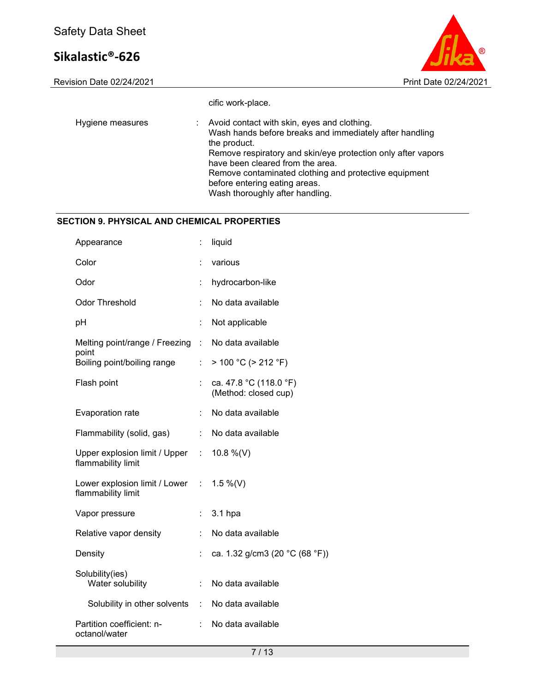

cific work-place.

| Hygiene measures | : Avoid contact with skin, eyes and clothing.<br>Wash hands before breaks and immediately after handling<br>the product.<br>Remove respiratory and skin/eye protection only after vapors<br>have been cleared from the area.<br>Remove contaminated clothing and protective equipment<br>before entering eating areas. |
|------------------|------------------------------------------------------------------------------------------------------------------------------------------------------------------------------------------------------------------------------------------------------------------------------------------------------------------------|
|                  | Wash thoroughly after handling.                                                                                                                                                                                                                                                                                        |

## **SECTION 9. PHYSICAL AND CHEMICAL PROPERTIES**

| Appearance                                                        | t.        | liquid                                         |
|-------------------------------------------------------------------|-----------|------------------------------------------------|
| Color                                                             |           | various                                        |
| Odor                                                              | ÷         | hydrocarbon-like                               |
| <b>Odor Threshold</b>                                             | ÷         | No data available                              |
| pH                                                                |           | Not applicable                                 |
| Melting point/range / Freezing                                    | $\sim 10$ | No data available                              |
| point<br>Boiling point/boiling range                              | t.        | $> 100 °C$ ( $> 212 °F$ )                      |
| Flash point                                                       |           | ca. 47.8 °C (118.0 °F)<br>(Method: closed cup) |
| Evaporation rate                                                  | ÷.        | No data available                              |
| Flammability (solid, gas)                                         | ÷.        | No data available                              |
| Upper explosion limit / Upper :<br>flammability limit             |           | 10.8 %(V)                                      |
| Lower explosion limit / Lower : $1.5\%$ (V)<br>flammability limit |           |                                                |
| Vapor pressure                                                    |           | 3.1 hpa                                        |
| Relative vapor density                                            |           | No data available                              |
| Density                                                           |           | ca. 1.32 g/cm3 (20 °C (68 °F))                 |
| Solubility(ies)<br>Water solubility                               | ÷.        | No data available                              |
| Solubility in other solvents :                                    |           | No data available                              |
| Partition coefficient: n-<br>octanol/water                        | t.        | No data available                              |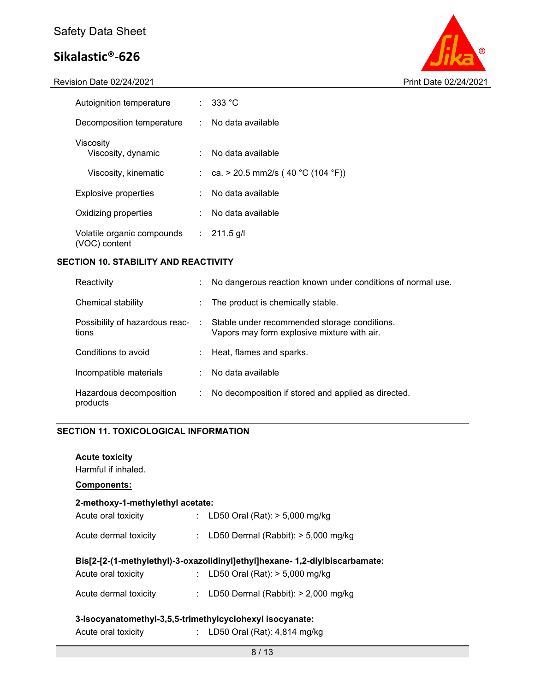Revision Date 02/24/2021 Print Date 02/24/2021



| Autoignition temperature                    |    | $\therefore$ 333 °C                 |
|---------------------------------------------|----|-------------------------------------|
| Decomposition temperature                   | t. | No data available                   |
| Viscosity<br>Viscosity, dynamic             |    | No data available                   |
| Viscosity, kinematic                        |    | : ca. > 20.5 mm2/s (40 °C (104 °F)) |
| Explosive properties                        |    | No data available                   |
| Oxidizing properties                        | ÷  | No data available                   |
| Volatile organic compounds<br>(VOC) content |    | $: 211.5$ g/l                       |

## **SECTION 10. STABILITY AND REACTIVITY**

| Reactivity                              |    | No dangerous reaction known under conditions of normal use.                                 |
|-----------------------------------------|----|---------------------------------------------------------------------------------------------|
| Chemical stability                      |    | $\therefore$ The product is chemically stable.                                              |
| Possibility of hazardous reac-<br>tions | ÷  | Stable under recommended storage conditions.<br>Vapors may form explosive mixture with air. |
| Conditions to avoid                     |    | : Heat, flames and sparks.                                                                  |
| Incompatible materials                  | ÷. | No data available                                                                           |
| Hazardous decomposition<br>products     |    | No decomposition if stored and applied as directed.                                         |

### **SECTION 11. TOXICOLOGICAL INFORMATION**

| <b>Acute toxicity</b><br>Harmful if inhaled.<br><b>Components:</b> |                                                                            |
|--------------------------------------------------------------------|----------------------------------------------------------------------------|
| 2-methoxy-1-methylethyl acetate:                                   |                                                                            |
|                                                                    |                                                                            |
| Acute oral toxicity                                                | : LD50 Oral (Rat): $>$ 5,000 mg/kg                                         |
|                                                                    |                                                                            |
| Acute dermal toxicity                                              | : LD50 Dermal (Rabbit): $>$ 5,000 mg/kg                                    |
|                                                                    |                                                                            |
|                                                                    | Bis[2-[2-(1-methylethyl)-3-oxazolidinyl]ethyl]hexane-1,2-diylbiscarbamate: |
|                                                                    |                                                                            |
| Acute oral toxicity                                                | : LD50 Oral (Rat): $>$ 5,000 mg/kg                                         |
| Acute dermal toxicity                                              | : LD50 Dermal (Rabbit): $>$ 2,000 mg/kg                                    |
|                                                                    |                                                                            |
|                                                                    |                                                                            |
|                                                                    |                                                                            |
| 3-isocyanatomethyl-3,5,5-trimethylcyclohexyl isocyanate:           |                                                                            |
| Acute oral toxicity                                                | : LD50 Oral (Rat): $4,814$ mg/kg                                           |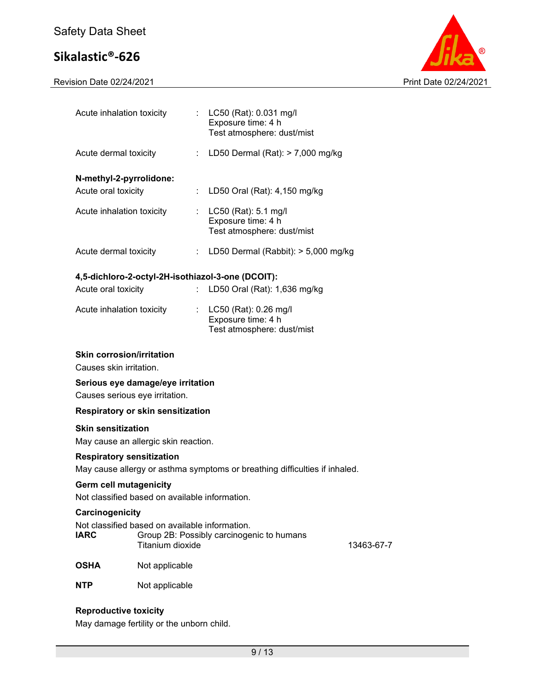Revision Date 02/24/2021 Print Date 02/24/2021



| Acute inhalation toxicity                                                  |                                                                    |                               | : $LC50$ (Rat): 0.031 mg/l<br>Exposure time: 4 h<br>Test atmosphere: dust/mist |            |
|----------------------------------------------------------------------------|--------------------------------------------------------------------|-------------------------------|--------------------------------------------------------------------------------|------------|
| Acute dermal toxicity                                                      |                                                                    |                               | : LD50 Dermal (Rat): > 7,000 mg/kg                                             |            |
| N-methyl-2-pyrrolidone:                                                    |                                                                    |                               |                                                                                |            |
| Acute oral toxicity                                                        |                                                                    | ÷                             | LD50 Oral (Rat): 4,150 mg/kg                                                   |            |
| Acute inhalation toxicity                                                  |                                                                    |                               | LC50 (Rat): 5.1 mg/l<br>Exposure time: 4 h<br>Test atmosphere: dust/mist       |            |
| Acute dermal toxicity                                                      |                                                                    | $\mathbb{Z}^{\mathbb{Z}^n}$ . | LD50 Dermal (Rabbit): $> 5,000$ mg/kg                                          |            |
|                                                                            |                                                                    |                               | 4,5-dichloro-2-octyl-2H-isothiazol-3-one (DCOIT):                              |            |
| Acute oral toxicity                                                        |                                                                    | ÷.                            | LD50 Oral (Rat): 1,636 mg/kg                                                   |            |
| Acute inhalation toxicity                                                  |                                                                    | ÷.                            | LC50 (Rat): 0.26 mg/l<br>Exposure time: 4 h                                    |            |
|                                                                            |                                                                    |                               | Test atmosphere: dust/mist                                                     |            |
| <b>Skin corrosion/irritation</b>                                           |                                                                    |                               |                                                                                |            |
| Causes skin irritation.                                                    |                                                                    |                               |                                                                                |            |
| Causes serious eye irritation.                                             | Serious eye damage/eye irritation                                  |                               |                                                                                |            |
| <b>Respiratory or skin sensitization</b>                                   |                                                                    |                               |                                                                                |            |
| <b>Skin sensitization</b>                                                  |                                                                    |                               |                                                                                |            |
| May cause an allergic skin reaction.                                       |                                                                    |                               |                                                                                |            |
| <b>Respiratory sensitization</b>                                           |                                                                    |                               |                                                                                |            |
| May cause allergy or asthma symptoms or breathing difficulties if inhaled. |                                                                    |                               |                                                                                |            |
| <b>Germ cell mutagenicity</b>                                              |                                                                    |                               |                                                                                |            |
|                                                                            | Not classified based on available information.                     |                               |                                                                                |            |
| Carcinogenicity                                                            |                                                                    |                               |                                                                                |            |
| <b>IARC</b>                                                                | Not classified based on available information.<br>Titanium dioxide |                               | Group 2B: Possibly carcinogenic to humans                                      | 13463-67-7 |
| <b>OSHA</b>                                                                | Not applicable                                                     |                               |                                                                                |            |
| <b>NTP</b>                                                                 | Not applicable                                                     |                               |                                                                                |            |
|                                                                            |                                                                    |                               |                                                                                |            |
|                                                                            |                                                                    |                               |                                                                                |            |

## **Reproductive toxicity**

May damage fertility or the unborn child.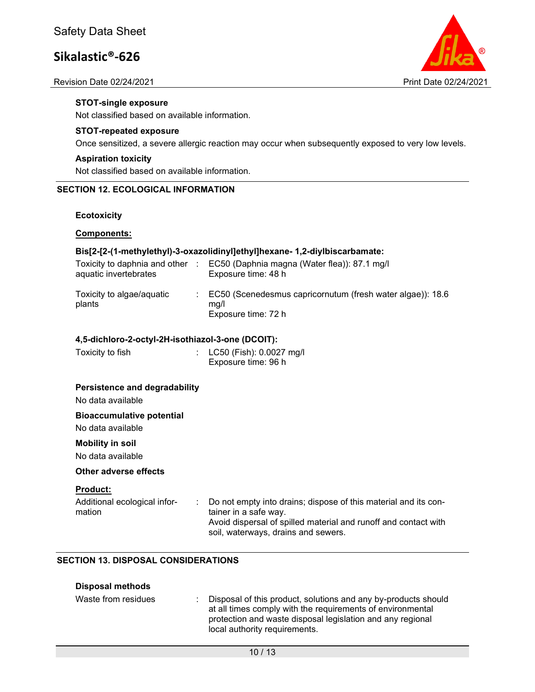#### Revision Date 02/24/2021 Print Date 02/24/2021



#### **STOT-single exposure**

Not classified based on available information.

#### **STOT-repeated exposure**

Once sensitized, a severe allergic reaction may occur when subsequently exposed to very low levels.

#### **Aspiration toxicity**

Not classified based on available information.

### **SECTION 12. ECOLOGICAL INFORMATION**

#### **Ecotoxicity**

#### **Components:**

#### **Bis[2-[2-(1-methylethyl)-3-oxazolidinyl]ethyl]hexane- 1,2-diylbiscarbamate:**

| Toxicity to daphnia and other<br>aquatic invertebrates | EC50 (Daphnia magna (Water flea)): 87.1 mg/l<br>Exposure time: 48 h                             |
|--------------------------------------------------------|-------------------------------------------------------------------------------------------------|
| Toxicity to algae/aquatic<br>plants                    | $\pm$ EC50 (Scenedesmus capricornutum (fresh water algae)): 18.6<br>ma/l<br>Exposure time: 72 h |

#### **4,5-dichloro-2-octyl-2H-isothiazol-3-one (DCOIT):**

| Toxicity to fish | : LC50 (Fish): 0.0027 mg/l |
|------------------|----------------------------|
|                  | Exposure time: 96 h        |

#### **Persistence and degradability**

No data available

#### **Bioaccumulative potential**

No data available

#### **Mobility in soil**

No data available

#### **Other adverse effects**

#### **Product:**

Additional ecological information

: Do not empty into drains; dispose of this material and its container in a safe way. Avoid dispersal of spilled material and runoff and contact with soil, waterways, drains and sewers.

### **SECTION 13. DISPOSAL CONSIDERATIONS**

#### **Disposal methods**

| Waste from residues | : Disposal of this product, solutions and any by-products should<br>at all times comply with the requirements of environmental<br>protection and waste disposal legislation and any regional<br>local authority requirements. |
|---------------------|-------------------------------------------------------------------------------------------------------------------------------------------------------------------------------------------------------------------------------|
|                     |                                                                                                                                                                                                                               |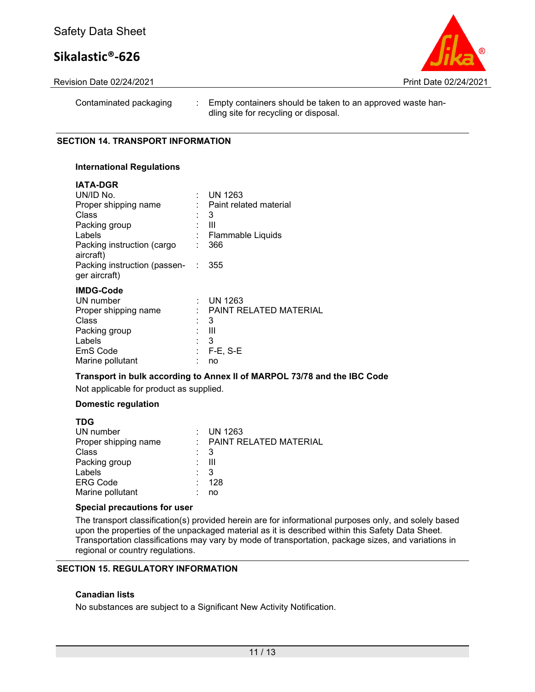

Revision Date 02/24/2021 Print Date 02/24/2021

Contaminated packaging : Empty containers should be taken to an approved waste handling site for recycling or disposal.

#### **SECTION 14. TRANSPORT INFORMATION**

#### **International Regulations**

| <b>IATA-DGR</b><br>UN/ID No.<br>Proper shipping name<br>Class<br>Packing group<br>Labels<br>Packing instruction (cargo<br>aircraft)<br>Packing instruction (passen- | ÷ | $:$ UN 1263<br>: Paint related material<br>3<br>$\mathbf{III}$<br>Flammable Liquids<br>366<br>355 |
|---------------------------------------------------------------------------------------------------------------------------------------------------------------------|---|---------------------------------------------------------------------------------------------------|
| ger aircraft)<br><b>IMDG-Code</b><br>UN number<br>Proper shipping name<br>Class<br>Packing group<br>Labels<br>EmS Code<br>Marine pollutant                          |   | : UN 1263<br>PAINT RELATED MATERIAL<br>3<br>$\mathbf{III}$<br>- 3<br>$F-E$ , S-E<br>no            |

#### **Transport in bulk according to Annex II of MARPOL 73/78 and the IBC Code**

Not applicable for product as supplied.

#### **Domestic regulation**

| <b>TDG</b>           |     |                              |
|----------------------|-----|------------------------------|
| UN number            |     | $\therefore$ UN 1263         |
| Proper shipping name |     | $\pm$ PAINT RELATED MATERIAL |
| Class                | : 3 |                              |
| Packing group        |     | - 111                        |
| Labels               |     | -3                           |
| <b>ERG Code</b>      |     | 128                          |
| Marine pollutant     |     | no                           |
|                      |     |                              |

#### **Special precautions for user**

The transport classification(s) provided herein are for informational purposes only, and solely based upon the properties of the unpackaged material as it is described within this Safety Data Sheet. Transportation classifications may vary by mode of transportation, package sizes, and variations in regional or country regulations.

## **SECTION 15. REGULATORY INFORMATION**

#### **Canadian lists**

No substances are subject to a Significant New Activity Notification.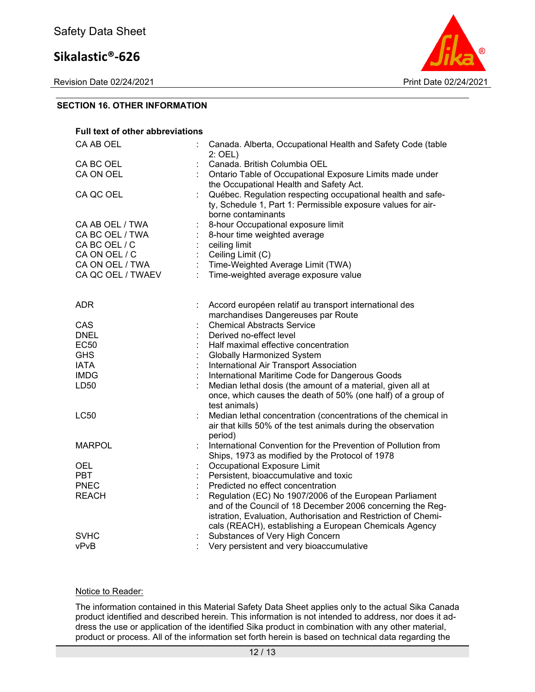Revision Date 02/24/2021 Print Date 02/24/2021



## **SECTION 16. OTHER INFORMATION**

| <b>Full text of other abbreviations</b> |                                                                                                                                                                                                                                                   |
|-----------------------------------------|---------------------------------------------------------------------------------------------------------------------------------------------------------------------------------------------------------------------------------------------------|
| CA AB OEL                               | Canada. Alberta, Occupational Health and Safety Code (table<br>$2:$ OEL)                                                                                                                                                                          |
| CA BC OEL                               | Canada. British Columbia OEL                                                                                                                                                                                                                      |
| CA ON OEL                               | Ontario Table of Occupational Exposure Limits made under<br>the Occupational Health and Safety Act.                                                                                                                                               |
| CA QC OEL                               | Québec. Regulation respecting occupational health and safe-<br>ty, Schedule 1, Part 1: Permissible exposure values for air-<br>borne contaminants                                                                                                 |
| CA AB OEL / TWA                         | 8-hour Occupational exposure limit                                                                                                                                                                                                                |
| CA BC OEL / TWA                         | 8-hour time weighted average                                                                                                                                                                                                                      |
| CA BC OEL / C                           | ceiling limit                                                                                                                                                                                                                                     |
| CA ON OEL / C                           | Ceiling Limit (C)                                                                                                                                                                                                                                 |
| CA ON OEL / TWA                         | Time-Weighted Average Limit (TWA)                                                                                                                                                                                                                 |
| CA QC OEL / TWAEV                       | Time-weighted average exposure value                                                                                                                                                                                                              |
|                                         |                                                                                                                                                                                                                                                   |
| <b>ADR</b>                              | Accord européen relatif au transport international des                                                                                                                                                                                            |
|                                         | marchandises Dangereuses par Route                                                                                                                                                                                                                |
| CAS                                     | <b>Chemical Abstracts Service</b>                                                                                                                                                                                                                 |
| <b>DNEL</b>                             | Derived no-effect level                                                                                                                                                                                                                           |
| <b>EC50</b>                             | Half maximal effective concentration                                                                                                                                                                                                              |
| <b>GHS</b>                              | <b>Globally Harmonized System</b>                                                                                                                                                                                                                 |
| <b>IATA</b>                             | International Air Transport Association                                                                                                                                                                                                           |
| <b>IMDG</b>                             | International Maritime Code for Dangerous Goods                                                                                                                                                                                                   |
| LD50                                    | Median lethal dosis (the amount of a material, given all at<br>once, which causes the death of 50% (one half) of a group of<br>test animals)                                                                                                      |
| <b>LC50</b>                             | Median lethal concentration (concentrations of the chemical in<br>air that kills 50% of the test animals during the observation<br>period)                                                                                                        |
| <b>MARPOL</b>                           | International Convention for the Prevention of Pollution from<br>Ships, 1973 as modified by the Protocol of 1978                                                                                                                                  |
| <b>OEL</b>                              | Occupational Exposure Limit                                                                                                                                                                                                                       |
| <b>PBT</b>                              | Persistent, bioaccumulative and toxic                                                                                                                                                                                                             |
| <b>PNEC</b>                             | Predicted no effect concentration                                                                                                                                                                                                                 |
| <b>REACH</b>                            | Regulation (EC) No 1907/2006 of the European Parliament<br>and of the Council of 18 December 2006 concerning the Reg-<br>istration, Evaluation, Authorisation and Restriction of Chemi-<br>cals (REACH), establishing a European Chemicals Agency |
| <b>SVHC</b>                             | Substances of Very High Concern                                                                                                                                                                                                                   |
| vPvB                                    | Very persistent and very bioaccumulative                                                                                                                                                                                                          |
|                                         |                                                                                                                                                                                                                                                   |

### Notice to Reader:

The information contained in this Material Safety Data Sheet applies only to the actual Sika Canada product identified and described herein. This information is not intended to address, nor does it address the use or application of the identified Sika product in combination with any other material, product or process. All of the information set forth herein is based on technical data regarding the